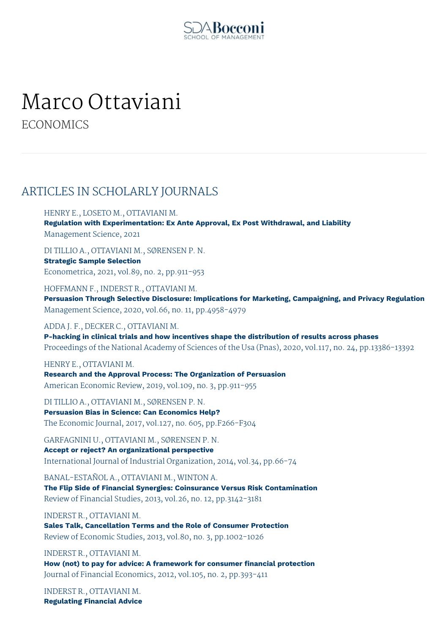

# Marco Ottaviani

**ECONOMICS** 

## ARTICLES IN SCHOLARLY JOURNALS

HENRY E., LOSETO M., OTTAVIANI M. **Regulation with Experimentation: Ex Ante Approval, Ex Post Withdrawal, and Liability** Management Science, 2021

DI TILLIO A., OTTAVIANI M., SØRENSEN P. N. **Strategic Sample Selection** Econometrica, 2021, vol.89, no. 2, pp.911-953

HOFFMANN F., INDERST R., OTTAVIANI M. **Persuasion Through Selective Disclosure: Implications for Marketing, Campaigning, and Privacy Regulation** Management Science, 2020, vol.66, no. 11, pp.4958-4979

#### ADDA J. F., DECKER C., OTTAVIANI M.

**P-hacking in clinical trials and how incentives shape the distribution of results across phases** Proceedings of the National Academy of Sciences of the Usa (Pnas), 2020, vol.117, no. 24, pp.13386-13392

HENRY E., OTTAVIANI M.

**Research and the Approval Process: The Organization of Persuasion** American Economic Review, 2019, vol.109, no. 3, pp.911-955

DI TILLIO A., OTTAVIANI M., SØRENSEN P. N. **Persuasion Bias in Science: Can Economics Help?** The Economic Journal, 2017, vol.127, no. 605, pp.F266-F304

GARFAGNINI U., OTTAVIANI M., SØRENSEN P. N. **Accept or reject? An organizational perspective** International Journal of Industrial Organization, 2014, vol.34, pp.66-74

BANAL-ESTAÑOL A., OTTAVIANI M., WINTON A. **The Flip Side of Financial Synergies: Coinsurance Versus Risk Contamination** Review of Financial Studies, 2013, vol.26, no. 12, pp.3142-3181

INDERST R., OTTAVIANI M. **Sales Talk, Cancellation Terms and the Role of Consumer Protection** Review of Economic Studies, 2013, vol.80, no. 3, pp.1002-1026

INDERST R., OTTAVIANI M. **How (not) to pay for advice: A framework for consumer financial protection** Journal of Financial Economics, 2012, vol.105, no. 2, pp.393-411

INDERST R., OTTAVIANI M. **Regulating Financial Advice**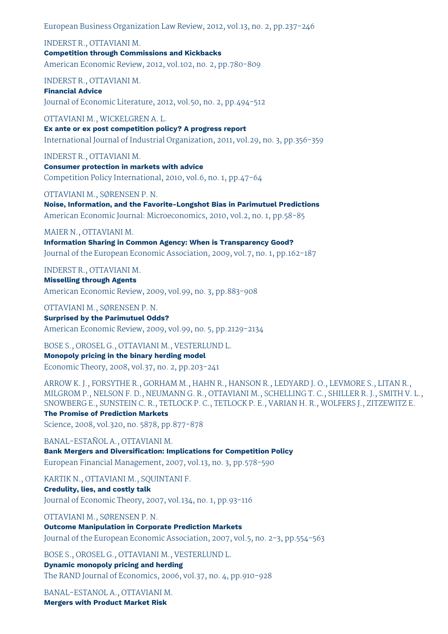European Business Organization Law Review, 2012, vol.13, no. 2, pp.237-246

INDERST R., OTTAVIANI M. **Competition through Commissions and Kickbacks** American Economic Review, 2012, vol.102, no. 2, pp.780-809

INDERST R., OTTAVIANI M.

**Financial Advice** Journal of Economic Literature, 2012, vol.50, no. 2, pp.494-512

OTTAVIANI M., WICKELGREN A. L. **Ex ante or ex post competition policy? A progress report** International Journal of Industrial Organization, 2011, vol.29, no. 3, pp.356-359

INDERST R., OTTAVIANI M. **Consumer protection in markets with advice** Competition Policy International, 2010, vol.6, no. 1, pp.47-64

OTTAVIANI M., SØRENSEN P. N. **Noise, Information, and the Favorite-Longshot Bias in Parimutuel Predictions** American Economic Journal: Microeconomics, 2010, vol.2, no. 1, pp.58-85

#### MAIER N., OTTAVIANI M.

**Information Sharing in Common Agency: When is Transparency Good?** Journal of the European Economic Association, 2009, vol.7, no. 1, pp.162-187

INDERST R., OTTAVIANI M.

**Misselling through Agents** American Economic Review, 2009, vol.99, no. 3, pp.883-908

OTTAVIANI M., SØRENSEN P. N.

**Surprised by the Parimutuel Odds?** American Economic Review, 2009, vol.99, no. 5, pp.2129-2134

BOSE S., OROSEL G., OTTAVIANI M., VESTERLUND L.

#### **Monopoly pricing in the binary herding model**

Economic Theory, 2008, vol.37, no. 2, pp.203-241

ARROW K. J., FORSYTHE R., GORHAM M., HAHN R., HANSON R., LEDYARD J. O., LEVMORE S., LITAN R., MILGROM P., NELSON F. D., NEUMANN G. R., OTTAVIANI M., SCHELLING T. C., SHILLER R. J., SMITH V. L., SNOWBERG E., SUNSTEIN C. R., TETLOCK P. C., TETLOCK P. E., VARIAN H. R., WOLFERS J., ZITZEWITZ E.

**The Promise of Prediction Markets**

Science, 2008, vol.320, no. 5878, pp.877-878

BANAL-ESTAÑOL A., OTTAVIANI M. **Bank Mergers and Diversification: Implications for Competition Policy** European Financial Management, 2007, vol.13, no. 3, pp.578-590

KARTIK N., OTTAVIANI M., SOUINTANI F.

#### **Credulity, lies, and costly talk**

Journal of Economic Theory, 2007, vol.134, no. 1, pp.93-116

OTTAVIANI M., SØRENSEN P. N.

**Outcome Manipulation in Corporate Prediction Markets**

Journal of the European Economic Association, 2007, vol.5, no. 2-3, pp.554-563

BOSE S., OROSEL G., OTTAVIANI M., VESTERLUND L.

**Dynamic monopoly pricing and herding** The RAND Journal of Economics, 2006, vol.37, no. 4, pp.910-928

BANAL-ESTANOL A., OTTAVIANI M. **Mergers with Product Market Risk**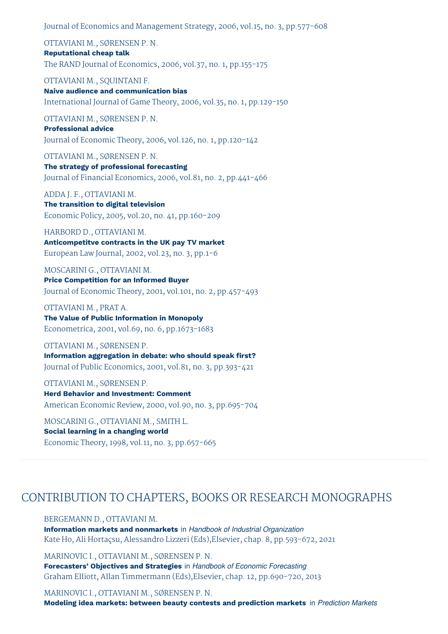Journal of Economics and Management Strategy, 2006, vol.15, no. 3, pp.577-608

OTTAVIANI M., SØRENSEN P. N. **Reputational cheap talk** The RAND Journal of Economics, 2006, vol.37, no. 1, pp.155-175

OTTAVIANI M., SQUINTANI F. **Naive audience and communication bias** International Journal of Game Theory, 2006, vol.35, no. 1, pp.129-150

OTTAVIANI M., SØRENSEN P. N. **Professional advice** Journal of Economic Theory, 2006, vol.126, no. 1, pp.120-142

OTTAVIANI M., SØRENSEN P. N. **The strategy of professional forecasting** Journal of Financial Economics, 2006, vol.81, no. 2, pp.441-466

ADDA J. F., OTTAVIANI M. **The transition to digital television** Economic Policy, 2005, vol.20, no. 41, pp.160-209

HARBORD D., OTTAVIANI M. **Anticompetitve contracts in the UK pay TV market** European Law Journal, 2002, vol.23, no. 3, pp.1-6

MOSCARINI G., OTTAVIANI M. **Price Competition for an Informed Buyer** Journal of Economic Theory, 2001, vol.101, no. 2, pp.457-493

OTTAVIANI M., PRAT A. **The Value of Public Information in Monopoly** Econometrica, 2001, vol.69, no. 6, pp.1673-1683

OTTAVIANI M., SØRENSEN P. **Information aggregation in debate: who should speak first?** Journal of Public Economics, 2001, vol.81, no. 3, pp.393-421

OTTAVIANI M., SØRENSEN P. **Herd Behavior and Investment: Comment** American Economic Review, 2000, vol.90, no. 3, pp.695-704

MOSCARINI G., OTTAVIANI M., SMITH L. **Social learning in a changing world** Economic Theory, 1998, vol.11, no. 3, pp.657-665

## CONTRIBUTION TO CHAPTERS, BOOKS OR RESEARCH MONOGRAPHS

BERGEMANN D., OTTAVIANI M. **Information markets and nonmarkets** in *Handbook of Industrial Organization* Kate Ho, Ali Hortaçsu, Alessandro Lizzeri (Eds),Elsevier, chap. 8, pp.593-672, 2021

MARINOVIC I., OTTAVIANI M., SØRENSEN P. N. **Forecasters' Objectives and Strategies** in *Handbook of Economic Forecasting* Graham Elliott, Allan Timmermann (Eds),Elsevier, chap. 12, pp.690-720, 2013

MARINOVIC I., OTTAVIANI M., SØRENSEN P. N. **Modeling idea markets: between beauty contests and prediction markets** in *Prediction Markets*